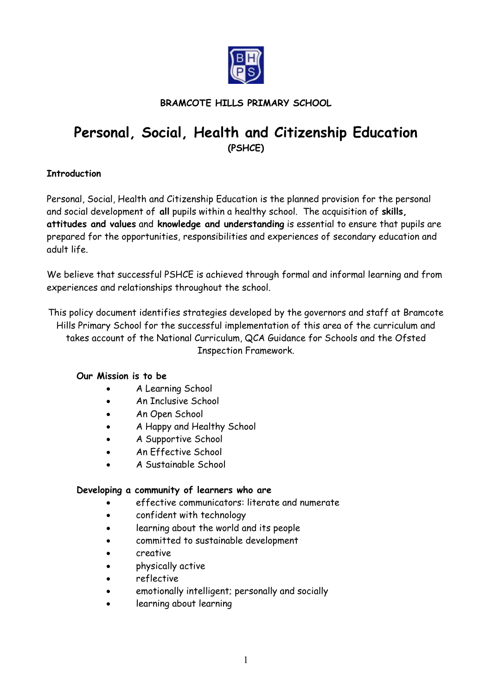

# **BRAMCOTE HILLS PRIMARY SCHOOL**

# **Personal, Social, Health and Citizenship Education (PSHCE)**

## **Introduction**

Personal, Social, Health and Citizenship Education is the planned provision for the personal and social development of **all** pupils within a healthy school. The acquisition of **skills, attitudes and values** and **knowledge and understanding** is essential to ensure that pupils are prepared for the opportunities, responsibilities and experiences of secondary education and adult life.

We believe that successful PSHCE is achieved through formal and informal learning and from experiences and relationships throughout the school.

This policy document identifies strategies developed by the governors and staff at Bramcote Hills Primary School for the successful implementation of this area of the curriculum and takes account of the National Curriculum, QCA Guidance for Schools and the Ofsted Inspection Framework.

#### **Our Mission is to be**

- A Learning School
- An Inclusive School
- An Open School
- A Happy and Healthy School
- A Supportive School
- An Effective School
- A Sustainable School

#### **Developing a community of learners who are**

- effective communicators: literate and numerate
- confident with technology
- learning about the world and its people
- committed to sustainable development
- creative
- physically active
- reflective
- emotionally intelligent; personally and socially
- learning about learning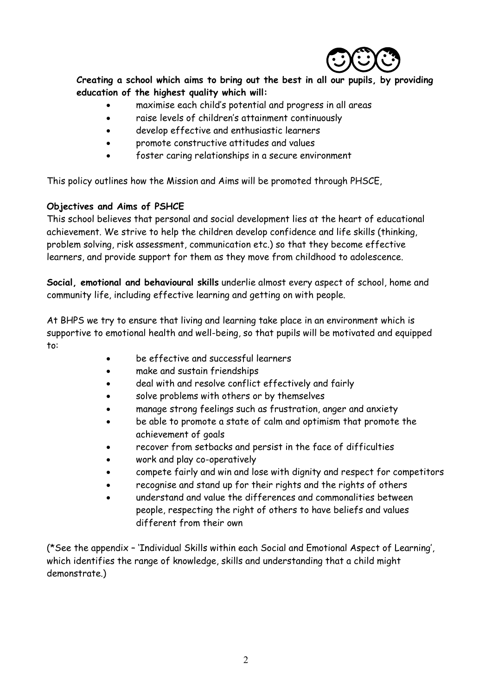

# **Creating a school which aims to bring out the best in all our pupils, by providing education of the highest quality which will:**

- maximise each child's potential and progress in all areas
- raise levels of children's attainment continuously
- develop effective and enthusiastic learners
- promote constructive attitudes and values
- foster caring relationships in a secure environment

This policy outlines how the Mission and Aims will be promoted through PHSCE,

## **Objectives and Aims of PSHCE**

This school believes that personal and social development lies at the heart of educational achievement. We strive to help the children develop confidence and life skills (thinking, problem solving, risk assessment, communication etc.) so that they become effective learners, and provide support for them as they move from childhood to adolescence.

**Social, emotional and behavioural skills** underlie almost every aspect of school, home and community life, including effective learning and getting on with people.

At BHPS we try to ensure that living and learning take place in an environment which is supportive to emotional health and well-being, so that pupils will be motivated and equipped to:

- be effective and successful learners
- make and sustain friendships
- deal with and resolve conflict effectively and fairly
- solve problems with others or by themselves
- manage strong feelings such as frustration, anger and anxiety
- be able to promote a state of calm and optimism that promote the achievement of goals
- recover from setbacks and persist in the face of difficulties
- work and play co-operatively
- compete fairly and win and lose with dignity and respect for competitors
- recognise and stand up for their rights and the rights of others
- understand and value the differences and commonalities between people, respecting the right of others to have beliefs and values different from their own

(\*See the appendix – 'Individual Skills within each Social and Emotional Aspect of Learning', which identifies the range of knowledge, skills and understanding that a child might demonstrate.)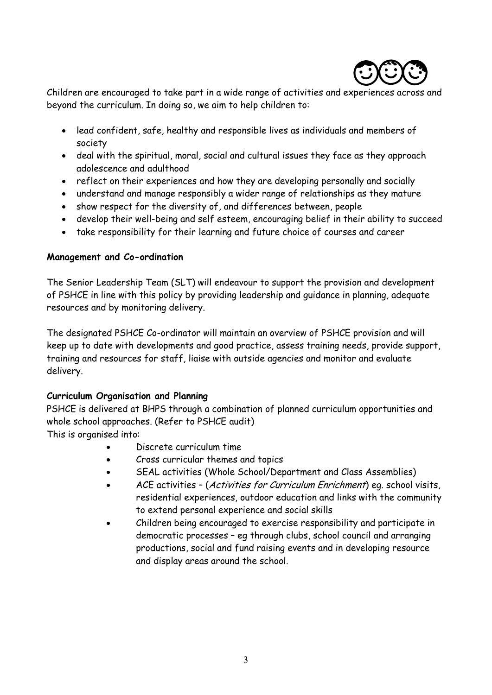

Children are encouraged to take part in a wide range of activities and experiences across and beyond the curriculum. In doing so, we aim to help children to:

- lead confident, safe, healthy and responsible lives as individuals and members of society
- deal with the spiritual, moral, social and cultural issues they face as they approach adolescence and adulthood
- reflect on their experiences and how they are developing personally and socially
- understand and manage responsibly a wider range of relationships as they mature
- show respect for the diversity of, and differences between, people
- develop their well-being and self esteem, encouraging belief in their ability to succeed
- take responsibility for their learning and future choice of courses and career

## **Management and Co-ordination**

The Senior Leadership Team (SLT) will endeavour to support the provision and development of PSHCE in line with this policy by providing leadership and guidance in planning, adequate resources and by monitoring delivery.

The designated PSHCE Co-ordinator will maintain an overview of PSHCE provision and will keep up to date with developments and good practice, assess training needs, provide support, training and resources for staff, liaise with outside agencies and monitor and evaluate delivery.

# **Curriculum Organisation and Planning**

PSHCE is delivered at BHPS through a combination of planned curriculum opportunities and whole school approaches. (Refer to PSHCE audit)

This is organised into:

- Discrete curriculum time
- Cross curricular themes and topics
- SEAL activities (Whole School/Department and Class Assemblies)
- ACE activities (Activities for Curriculum Enrichment) eg. school visits, residential experiences, outdoor education and links with the community to extend personal experience and social skills
- Children being encouraged to exercise responsibility and participate in democratic processes – eg through clubs, school council and arranging productions, social and fund raising events and in developing resource and display areas around the school.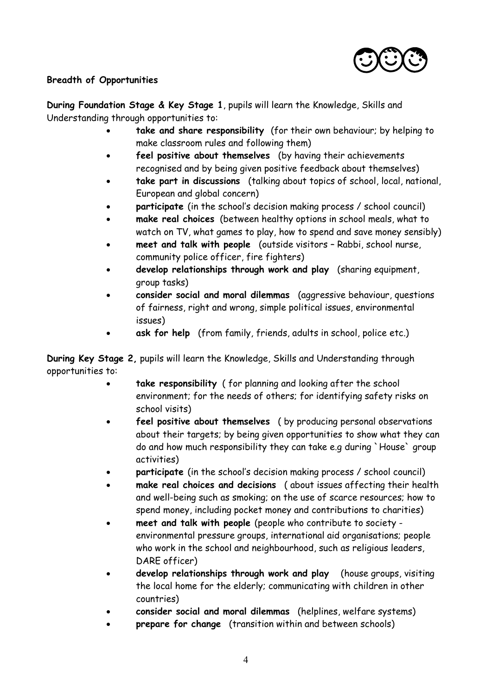

# **Breadth of Opportunities**

**During Foundation Stage & Key Stage 1**, pupils will learn the Knowledge, Skills and Understanding through opportunities to:

- **take and share responsibility** (for their own behaviour; by helping to make classroom rules and following them)
- **feel positive about themselves** (by having their achievements recognised and by being given positive feedback about themselves)
- **take part in discussions** (talking about topics of school, local, national, European and global concern)
- **participate** (in the school's decision making process / school council)
- **make real choices** (between healthy options in school meals, what to watch on TV, what games to play, how to spend and save money sensibly)
- **meet and talk with people** (outside visitors Rabbi, school nurse, community police officer, fire fighters)
- **develop relationships through work and play** (sharing equipment, group tasks)
- **consider social and moral dilemmas** (aggressive behaviour, questions of fairness, right and wrong, simple political issues, environmental issues)
- **ask for help** (from family, friends, adults in school, police etc.)

**During Key Stage 2,** pupils will learn the Knowledge, Skills and Understanding through opportunities to:

- **take responsibility** ( for planning and looking after the school environment; for the needs of others; for identifying safety risks on school visits)
- **feel positive about themselves** ( by producing personal observations about their targets; by being given opportunities to show what they can do and how much responsibility they can take e.g during `House` group activities)
- **participate** (in the school's decision making process / school council)
- **make real choices and decisions** ( about issues affecting their health and well-being such as smoking; on the use of scarce resources; how to spend money, including pocket money and contributions to charities)
- **meet and talk with people** (people who contribute to society environmental pressure groups, international aid organisations; people who work in the school and neighbourhood, such as religious leaders, DARE officer)
- **develop relationships through work and play** (house groups, visiting the local home for the elderly; communicating with children in other countries)
- **consider social and moral dilemmas** (helplines, welfare systems)
- **prepare for change** (transition within and between schools)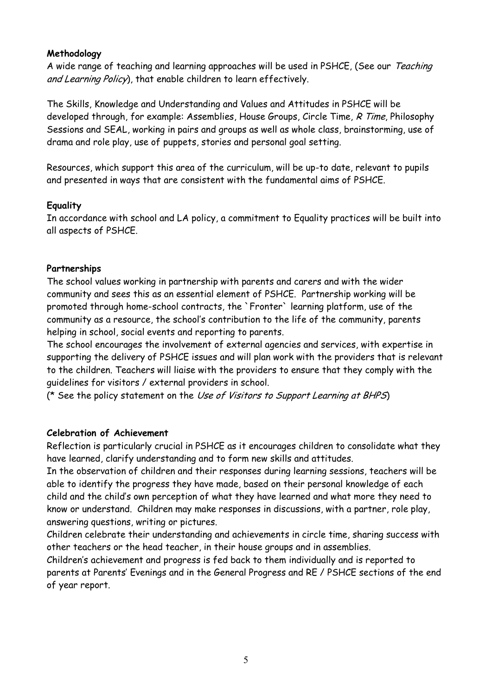# **Methodology**

A wide range of teaching and learning approaches will be used in PSHCE, (See our Teaching and Learning Policy), that enable children to learn effectively.

The Skills, Knowledge and Understanding and Values and Attitudes in PSHCE will be developed through, for example: Assemblies, House Groups, Circle Time, R Time, Philosophy Sessions and SEAL, working in pairs and groups as well as whole class, brainstorming, use of drama and role play, use of puppets, stories and personal goal setting.

Resources, which support this area of the curriculum, will be up-to date, relevant to pupils and presented in ways that are consistent with the fundamental aims of PSHCE.

#### **Equality**

In accordance with school and LA policy, a commitment to Equality practices will be built into all aspects of PSHCE.

## **Partnerships**

The school values working in partnership with parents and carers and with the wider community and sees this as an essential element of PSHCE. Partnership working will be promoted through home-school contracts, the `Fronter` learning platform, use of the community as a resource, the school's contribution to the life of the community, parents helping in school, social events and reporting to parents.

The school encourages the involvement of external agencies and services, with expertise in supporting the delivery of PSHCE issues and will plan work with the providers that is relevant to the children. Teachers will liaise with the providers to ensure that they comply with the guidelines for visitors / external providers in school.

(\* See the policy statement on the Use of Visitors to Support Learning at BHPS)

# **Celebration of Achievement**

Reflection is particularly crucial in PSHCE as it encourages children to consolidate what they have learned, clarify understanding and to form new skills and attitudes.

In the observation of children and their responses during learning sessions, teachers will be able to identify the progress they have made, based on their personal knowledge of each child and the child's own perception of what they have learned and what more they need to know or understand. Children may make responses in discussions, with a partner, role play, answering questions, writing or pictures.

Children celebrate their understanding and achievements in circle time, sharing success with other teachers or the head teacher, in their house groups and in assemblies.

Children's achievement and progress is fed back to them individually and is reported to parents at Parents' Evenings and in the General Progress and RE / PSHCE sections of the end of year report.